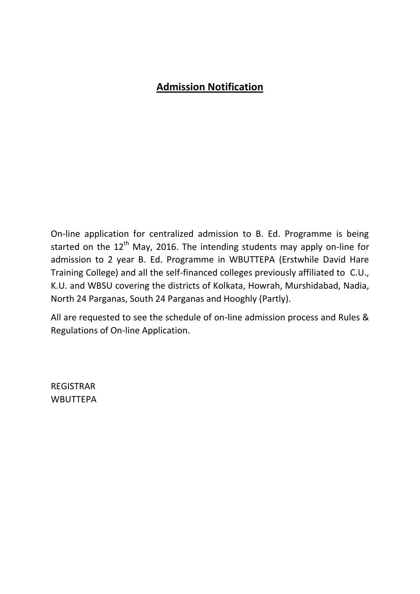# **Admission Notification**

On-line application for centralized admission to B. Ed. Programme is being started on the  $12<sup>th</sup>$  May, 2016. The intending students may apply on-line for admission to 2 year B. Ed. Programme in WBUTTEPA (Erstwhile David Hare Training College) and all the self-financed colleges previously affiliated to C.U., K.U. and WBSU covering the districts of Kolkata, Howrah, Murshidabad, Nadia, North 24 Parganas, South 24 Parganas and Hooghly (Partly).

All are requested to see the schedule of on-line admission process and Rules & Regulations of On-line Application.

REGISTRAR WBUTTEPA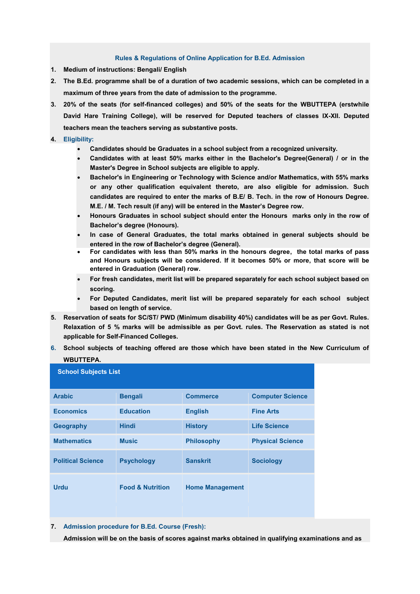#### **Rules & Regulations of Online Application for B.Ed. Admission**

- **1. Medium of instructions: Bengali/ English**
- **2. The B.Ed. programme shall be of a duration of two academic sessions, which can be completed in a maximum of three years from the date of admission to the programme.**
- **3. 20% of the seats (for self-financed colleges) and 50% of the seats for the WBUTTEPA (erstwhile David Hare Training College), will be reserved for Deputed teachers of classes IX-XII. Deputed teachers mean the teachers serving as substantive posts.**

#### **4. Eligibility:**

- **Candidates should be Graduates in a school subject from a recognized university.**
- **Candidates with at least 50% marks either in the Bachelor's Degree(General) / or in the Master's Degree in School subjects are eligible to apply.**
- **Bachelor's in Engineering or Technology with Science and/or Mathematics, with 55% marks or any other qualification equivalent thereto, are also eligible for admission. Such candidates are required to enter the marks of B.E/ B. Tech. in the row of Honours Degree. M.E. / M. Tech result (if any) will be entered in the Master's Degree row.**
- **Honours Graduates in school subject should enter the Honours marks only in the row of Bachelor's degree (Honours).**
- **In case of General Graduates, the total marks obtained in general subjects should be entered in the row of Bachelor's degree (General).**
- **For candidates with less than 50% marks in the honours degree, the total marks of pass and Honours subjects will be considered. If it becomes 50% or more, that score will be entered in Graduation (General) row.**
- **For fresh candidates, merit list will be prepared separately for each school subject based on scoring.**
- **For Deputed Candidates, merit list will be prepared separately for each school subject based on length of service.**
- **5. Reservation of seats for SC/ST/ PWD (Minimum disability 40%) candidates will be as per Govt. Rules. Relaxation of 5 % marks will be admissible as per Govt. rules. The Reservation as stated is not applicable for Self-Financed Colleges.**
- **6. School subjects of teaching offered are those which have been stated in the New Curriculum of WBUTTEPA.**

| <b>School Subjects List</b> |                             |                        |                         |  |  |  |
|-----------------------------|-----------------------------|------------------------|-------------------------|--|--|--|
| <b>Arabic</b>               | <b>Bengali</b>              | <b>Commerce</b>        | <b>Computer Science</b> |  |  |  |
| <b>Economics</b>            | <b>Education</b>            | <b>English</b>         | <b>Fine Arts</b>        |  |  |  |
| <b>Geography</b>            | <b>Hindi</b>                | <b>History</b>         | <b>Life Science</b>     |  |  |  |
| <b>Mathematics</b>          | <b>Music</b>                | <b>Philosophy</b>      | <b>Physical Science</b> |  |  |  |
| <b>Political Science</b>    | <b>Psychology</b>           | <b>Sanskrit</b>        | <b>Sociology</b>        |  |  |  |
| <b>Urdu</b>                 | <b>Food &amp; Nutrition</b> | <b>Home Management</b> |                         |  |  |  |
|                             |                             |                        |                         |  |  |  |

#### **7. Admission procedure for B.Ed. Course (Fresh):**

**Admission will be on the basis of scores against marks obtained in qualifying examinations and as**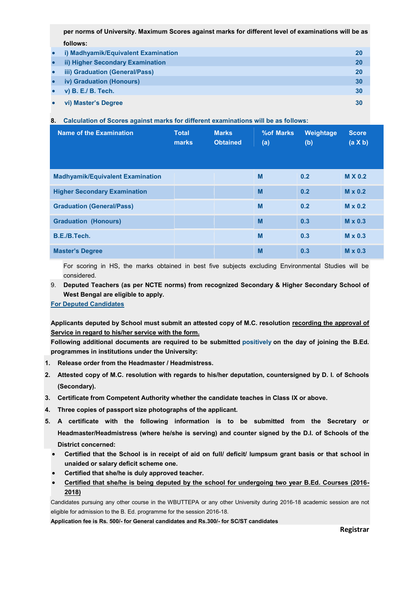**per norms of University. Maximum Scores against marks for different level of examinations will be as follows:** 

|           | • i) Madhyamik/Equivalent Examination |    |
|-----------|---------------------------------------|----|
|           | • ii) Higher Secondary Examination    |    |
|           | • iii) Graduation (General/Pass)      | 20 |
|           | • iv) Graduation (Honours)            | 30 |
|           | $\bullet$ v) B. E./ B. Tech.          | 30 |
| $\bullet$ | vi) Master's Degree                   |    |

### **8. Calculation of Scores against marks for different examinations will be as follows:**

| Name of the Examination                 | <b>Total</b><br>marks | <b>Marks</b><br><b>Obtained</b> | %of Marks<br>(a) | Weightage<br>(b) | <b>Score</b><br>$(a \times b)$ |
|-----------------------------------------|-----------------------|---------------------------------|------------------|------------------|--------------------------------|
| <b>Madhyamik/Equivalent Examination</b> |                       |                                 | M                | 0.2              | <b>M X 0.2</b>                 |
| <b>Higher Secondary Examination</b>     |                       |                                 | M                | 0.2              | $M \times 0.2$                 |
| <b>Graduation (General/Pass)</b>        |                       |                                 | M                | 0.2              | $M \times 0.2$                 |
| <b>Graduation (Honours)</b>             |                       |                                 | M                | 0.3              | $M \times 0.3$                 |
| B.E./B.Tech.                            |                       |                                 | M                | 0.3              | $M \times 0.3$                 |
| <b>Master's Degree</b>                  |                       |                                 | M                | 0.3              | $M \times 0.3$                 |

For scoring in HS, the marks obtained in best five subjects excluding Environmental Studies will be considered.

9. **Deputed Teachers (as per NCTE norms) from recognized Secondary & Higher Secondary School of West Bengal are eligible to apply.**

**For Deputed Candidates** 

**Applicants deputed by School must submit an attested copy of M.C. resolution recording the approval of Service in regard to his/her service with the form.** 

**Following additional documents are required to be submitted positively on the day of joining the B.Ed. programmes in institutions under the University:** 

- **1. Release order from the Headmaster / Headmistress.**
- **2. Attested copy of M.C. resolution with regards to his/her deputation, countersigned by D. I. of Schools (Secondary).**
- **3. Certificate from Competent Authority whether the candidate teaches in Class IX or above.**
- **4. Three copies of passport size photographs of the applicant.**
- **5. A certificate with the following information is to be submitted from the Secretary or Headmaster/Headmistress (where he/she is serving) and counter signed by the D.I. of Schools of the District concerned:** 
	- **Certified that the School is in receipt of aid on full/ deficit/ lumpsum grant basis or that school in unaided or salary deficit scheme one.**
	- **Certified that she/he is duly approved teacher.**
	- **Certified that she/he is being deputed by the school for undergoing two year B.Ed. Courses (2016- 2018)**

Candidates pursuing any other course in the WBUTTEPA or any other University during 2016-18 academic session are not eligible for admission to the B. Ed. programme for the session 2016-18.

**Application fee is Rs. 500/- for General candidates and Rs.300/- for SC/ST candidates**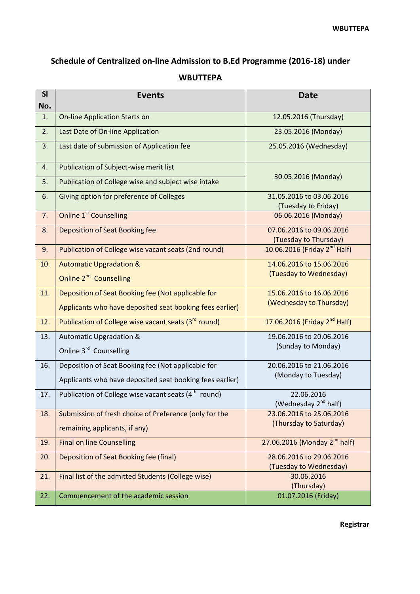## **Schedule of Centralized on-line Admission to B.Ed Programme (2016-18) under**

### **WBUTTEPA**

| <b>SI</b> | <b>Events</b>                                                                                                  | <b>Date</b>                                         |  |  |
|-----------|----------------------------------------------------------------------------------------------------------------|-----------------------------------------------------|--|--|
| No.       |                                                                                                                |                                                     |  |  |
| 1.        | <b>On-line Application Starts on</b>                                                                           | 12.05.2016 (Thursday)                               |  |  |
| 2.        | Last Date of On-line Application                                                                               | 23.05.2016 (Monday)                                 |  |  |
| 3.        | Last date of submission of Application fee                                                                     | 25.05.2016 (Wednesday)                              |  |  |
| 4.        | Publication of Subject-wise merit list                                                                         |                                                     |  |  |
| 5.        | Publication of College wise and subject wise intake                                                            | 30.05.2016 (Monday)                                 |  |  |
| 6.        | Giving option for preference of Colleges                                                                       | 31.05.2016 to 03.06.2016<br>(Tuesday to Friday)     |  |  |
| 7.        | <b>Online 1st</b> Counselling                                                                                  | 06.06.2016 (Monday)                                 |  |  |
| 8.        | Deposition of Seat Booking fee                                                                                 | 07.06.2016 to 09.06.2016<br>(Tuesday to Thursday)   |  |  |
| 9.        | Publication of College wise vacant seats (2nd round)                                                           | 10.06.2016 (Friday 2 <sup>nd</sup> Half)            |  |  |
| 10.       | <b>Automatic Upgradation &amp;</b><br>Online 2 <sup>nd</sup> Counselling                                       | 14.06.2016 to 15.06.2016<br>(Tuesday to Wednesday)  |  |  |
| 11.       | Deposition of Seat Booking fee (Not applicable for<br>Applicants who have deposited seat booking fees earlier) | 15.06.2016 to 16.06.2016<br>(Wednesday to Thursday) |  |  |
| 12.       | Publication of College wise vacant seats (3rd round)                                                           | 17.06.2016 (Friday 2 <sup>nd</sup> Half)            |  |  |
| 13.       | <b>Automatic Upgradation &amp;</b><br>Online 3rd Counselling                                                   | 19.06.2016 to 20.06.2016<br>(Sunday to Monday)      |  |  |
| 16.       | Deposition of Seat Booking fee (Not applicable for<br>Applicants who have deposited seat booking fees earlier) | 20.06.2016 to 21.06.2016<br>(Monday to Tuesday)     |  |  |
| 17.       | Publication of College wise vacant seats (4 <sup>th</sup> round)                                               | 22.06.2016<br>(Wednesday 2 <sup>nd</sup> half)      |  |  |
| 18.       | Submission of fresh choice of Preference (only for the<br>remaining applicants, if any)                        | 23.06.2016 to 25.06.2016<br>(Thursday to Saturday)  |  |  |
| 19.       | <b>Final on line Counselling</b>                                                                               | 27.06.2016 (Monday 2 <sup>nd</sup> half)            |  |  |
| 20.       | <b>Deposition of Seat Booking fee (final)</b>                                                                  | 28.06.2016 to 29.06.2016<br>(Tuesday to Wednesday)  |  |  |
| 21.       | Final list of the admitted Students (College wise)                                                             | 30.06.2016<br>(Thursday)                            |  |  |
| 22.       | Commencement of the academic session                                                                           | 01.07.2016 (Friday)                                 |  |  |

**Registrar**